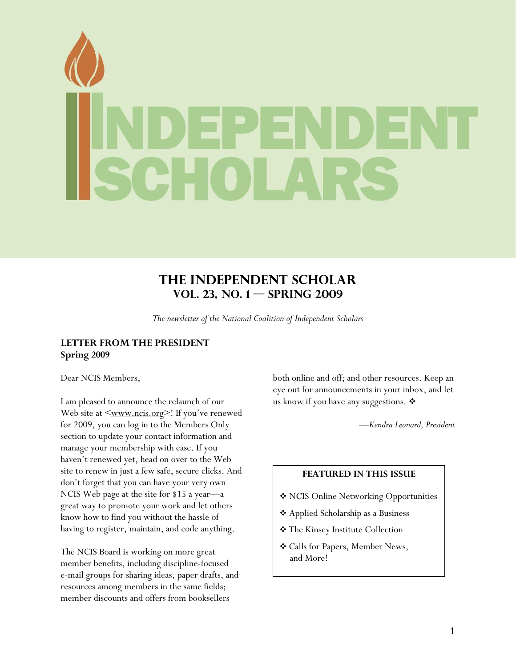<span id="page-0-0"></span>

# **The Independent Scholar Vol. 23, No. 1 — SPRING 2009**

*The newsletter of the National Coalition of Independent Scholars* 

## **LETTER FROM THE PRESIDENT Spring 2009**

Dear NCIS Members,

I am pleased to announce the relaunch of our Web site at  $\langle www.ncis.org \rangle$ ! If you've renewed for 2009, you can log in to the Members Only section to update your contact information and manage your membership with ease. If you haven't renewed yet, head on over to the Web site to renew in just a few safe, secure clicks. And don't forget that you can have your very own NCIS Web page at the site for \$15 a year—a great way to promote your work and let others know how to find you without the hassle of having to register, maintain, and code anything.

The NCIS Board is working on more great member benefits, including discipline-focused e-mail groups for sharing ideas, paper drafts, and resources among members in the same fields; member discounts and offers from booksellers

both online and off; and other resources. Keep an eye out for announcements in your inbox, and let us know if you have any suggestions.  $\mathbf{\hat{*}}$ 

—*Kendra Leonard, President*

#### **FEATURED IN THIS ISSUE**

- NCIS Online Networking Opportunities
- Applied Scholarship as a Business
- The Kinsey Institute Collection
- Calls for Papers, Member News, and More!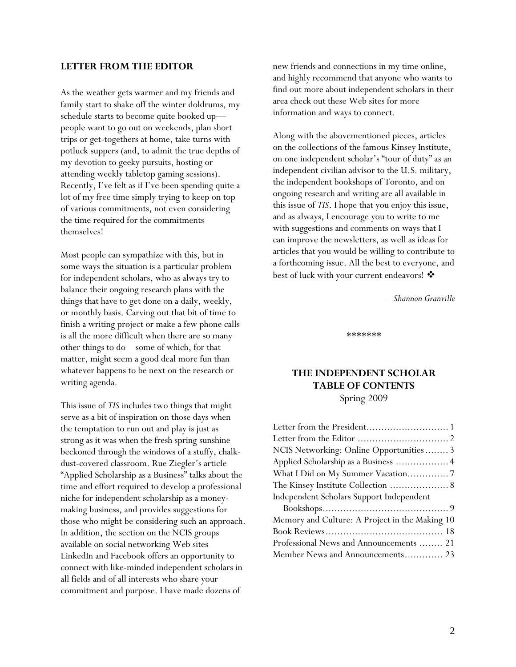#### <span id="page-1-0"></span>**LETTER FROM THE EDITOR**

As the weather gets warmer and my friends and family start to shake off the winter doldrums, my schedule starts to become quite booked up people want to go out on weekends, plan short trips or get-togethers at home, take turns with potluck suppers (and, to admit the true depths of my devotion to geeky pursuits, hosting or attending weekly tabletop gaming sessions). Recently, I've felt as if I've been spending quite a lot of my free time simply trying to keep on top of various commitments, not even considering the time required for the commitments themselves!

Most people can sympathize with this, but in some ways the situation is a particular problem for independent scholars, who as always try to balance their ongoing research plans with the things that have to get done on a daily, weekly, or monthly basis. Carving out that bit of time to finish a writing project or make a few phone calls is all the more difficult when there are so many other things to do—some of which, for that matter, might seem a good deal more fun than whatever happens to be next on the research or writing agenda.

This issue of *TIS* includes two things that might serve as a bit of inspiration on those days when the temptation to run out and play is just as strong as it was when the fresh spring sunshine beckoned through the windows of a stuffy, chalkdust-covered classroom. Rue Ziegler's article "Applied Scholarship as a Business" talks about the time and effort required to develop a professional niche for independent scholarship as a moneymaking business, and provides suggestions for those who might be considering such an approach. In addition, the section on the NCIS groups available on social networking Web sites LinkedIn and Facebook offers an opportunity to connect with like-minded independent scholars in all fields and of all interests who share your commitment and purpose. I have made dozens of

new friends and connections in my time online, and highly recommend that anyone who wants to find out more about independent scholars in their area check out these Web sites for more information and ways to connect.

Along with the abovementioned pieces, articles on the collections of the famous Kinsey Institute, on one independent scholar's "tour of duty" as an independent civilian advisor to the U.S. military, the independent bookshops of Toronto, and on ongoing research and writing are all available in this issue of *TIS*. I hope that you enjoy this issue, and as always, I encourage you to write to me with suggestions and comments on ways that I can improve the newsletters, as well as ideas for articles that you would be willing to contribute to a forthcoming issue. All the best to everyone, and best of luck with your current endeavors!

– *Shannon Granville*

\*\*\*\*\*\*\*

## **THE INDEPENDENT SCHOLAR TABLE OF CONTENTS**  Spring 2009

| NCIS Networking: Online Opportunities 3        |
|------------------------------------------------|
| Applied Scholarship as a Business  4           |
|                                                |
|                                                |
|                                                |
| Independent Scholars Support Independent       |
|                                                |
| Memory and Culture: A Project in the Making 10 |
|                                                |
| Professional News and Announcements  21        |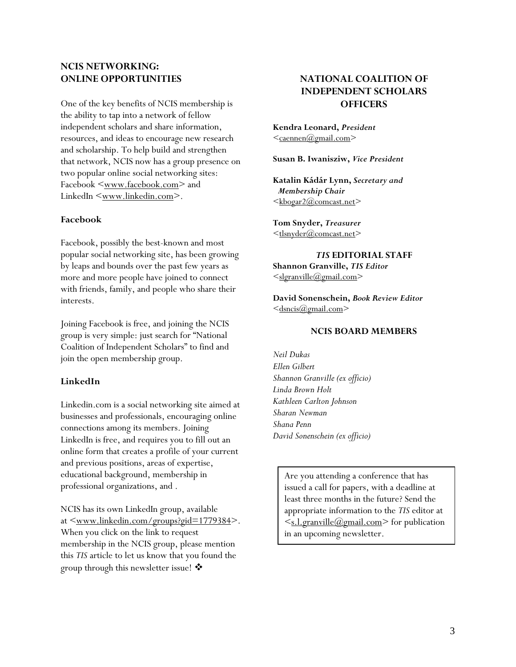## <span id="page-2-0"></span>**NCIS NETWORKING: ONLINE OPPORTUNITIES**

One of the key benefits of NCIS membership is the ability to tap into a network of fellow independent scholars and share information, resources, and ideas to encourage new research and scholarship. To help build and strengthen that network, NCIS now has a group presence on two popular online social networking sites: Facebook <[www.facebook.com](http://www.facebook.com/)> and LinkedIn [<www.linkedin.com>](http://www.linkedin.com/).

## **Facebook**

Facebook, possibly the best-known and most popular social networking site, has been growing by leaps and bounds over the past few years as more and more people have joined to connect with friends, family, and people who share their interests.

Joining Facebook is free, and joining the NCIS group is very simple: just search for "National Coalition of Independent Scholars" to find and join the open membership group.

## **LinkedIn**

Linkedin.com is a social networking site aimed at businesses and professionals, encouraging online connections among its members. Joining LinkedIn is free, and requires you to fill out an online form that creates a profile of your current and previous positions, areas of expertise, educational background, membership in professional organizations, and .

NCIS has its own LinkedIn group, available at  $\leq$ [www.linkedin.com/groups?gid=1779384](http://www.linkedin.com/groups?gid=1779384)>. When you click on the link to request membership in the NCIS group, please mention this *TIS* article to let us know that you found the group through this newsletter issue!  $\mathbf{\hat{\mathcal{P}}}$ 

## **NATIONAL COALITION OF INDEPENDENT SCHOLARS OFFICERS**

**Kendra Leonard,** *President* <caennen@gmail.com>

**Susan B. Iwanisziw,** *Vice President*

**Katalin Kádár Lynn,** *Secretary and Membership Chair*   $\langle \text{kbogar2}(\omega)$ comcast.net

**Tom Snyder,** *Treasurer* <tlsnyder@comcast.net>

*TIS* **EDITORIAL STAFF** 

**Shannon Granville,** *TIS Editor* <slgranville@gmail.com>

**David Sonenschein,** *Book Review Editor*  $\leq$ dsncis $\omega$ gmail.com $>$ 

#### **NCIS BOARD MEMBERS**

*Neil Dukas Ellen Gilbert Shannon Granville (ex officio) Linda Brown Holt Kathleen Carlton Johnson Sharan Newman Shana Penn David Sonenschein (ex officio)* 

> Are you attending a conference that has issued a call for papers, with a deadline at least three months in the future? Send the appropriate information to the *TIS* editor at  $\leq$ [s.l.granville@gmail.com>](mailto:s.l.granville@gmail.com) for publication in an upcoming newsletter.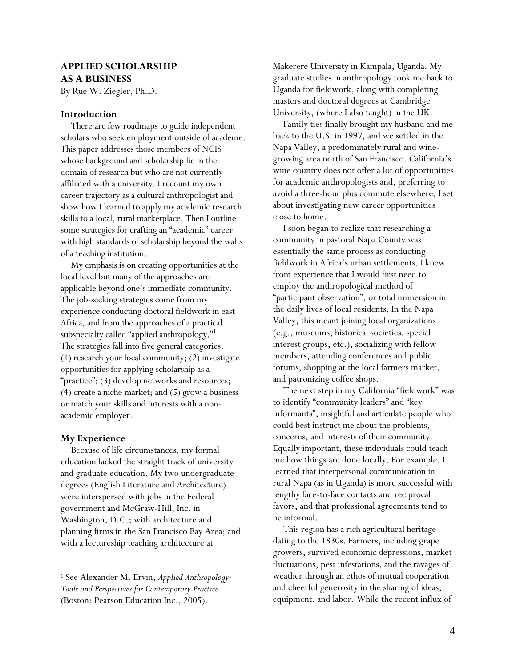## <span id="page-3-0"></span>**APPLIED SCHOLARSHIP AS A BUSINESS**

By Rue W. Ziegler, Ph.D.

#### **Introduction**

There are few roadmaps to guide independent scholars who seek employment outside of academe. This paper addresses those members of NCIS whose background and scholarship lie in the domain of research but who are not currently affiliated with a university. I recount my own career trajectory as a cultural anthropologist and show how I learned to apply my academic research skills to a local, rural marketplace. Then I outline some strategies for crafting an "academic" career with high standards of scholarship beyond the walls of a teaching institution.

My emphasis is on creating opportunities at the local level but many of the approaches are applicable beyond one's immediate community. The job-seeking strategies come from my experience conducting doctoral fieldwork in east Africa, and from the approaches of a practical subspecialty called "applied anthropology."<sup>[1](#page-3-1)</sup> The strategies fall into five general categories: (1) research your local community; (2) investigate opportunities for applying scholarship as a "practice"; (3) develop networks and resources; (4) create a niche market; and (5) grow a business or match your skills and interests with a nonacademic employer.

#### **My Experience**

 $\overline{a}$ 

Because of life circumstances, my formal education lacked the straight track of university and graduate education. My two undergraduate degrees (English Literature and Architecture) were interspersed with jobs in the Federal government and McGraw-Hill, Inc. in Washington, D.C.; with architecture and planning firms in the San Francisco Bay Area; and with a lectureship teaching architecture at

Makerere University in Kampala, Uganda. My graduate studies in anthropology took me back to Uganda for fieldwork, along with completing masters and doctoral degrees at Cambridge University, (where I also taught) in the UK.

Family ties finally brought my husband and me back to the U.S. in 1997, and we settled in the Napa Valley, a predominately rural and winegrowing area north of San Francisco. California's wine country does not offer a lot of opportunities for academic anthropologists and, preferring to avoid a three-hour plus commute elsewhere, I set about investigating new career opportunities close to home.

I soon began to realize that researching a community in pastoral Napa County was essentially the same process as conducting fieldwork in Africa's urban settlements. I knew from experience that I would first need to employ the anthropological method of "participant observation", or total immersion in the daily lives of local residents. In the Napa Valley, this meant joining local organizations (e.g., museums, historical societies, special interest groups, etc.), socializing with fellow members, attending conferences and public forums, shopping at the local farmers market, and patronizing coffee shops.

The next step in my California "fieldwork" was to identify "community leaders" and "key informants", insightful and articulate people who could best instruct me about the problems, concerns, and interests of their community. Equally important, these individuals could teach me how things are done locally. For example, I learned that interpersonal communication in rural Napa (as in Uganda) is more successful with lengthy face-to-face contacts and reciprocal favors, and that professional agreements tend to be informal.

This region has a rich agricultural heritage dating to the 1830s. Farmers, including grape growers, survived economic depressions, market fluctuations, pest infestations, and the ravages of weather through an ethos of mutual cooperation and cheerful generosity in the sharing of ideas, equipment, and labor. While the recent influx of

<span id="page-3-1"></span><sup>1</sup> See Alexander M. Ervin, *Applied Anthropology: Tools and Perspectives for Contemporary Practice* (Boston: Pearson Education Inc., 2005).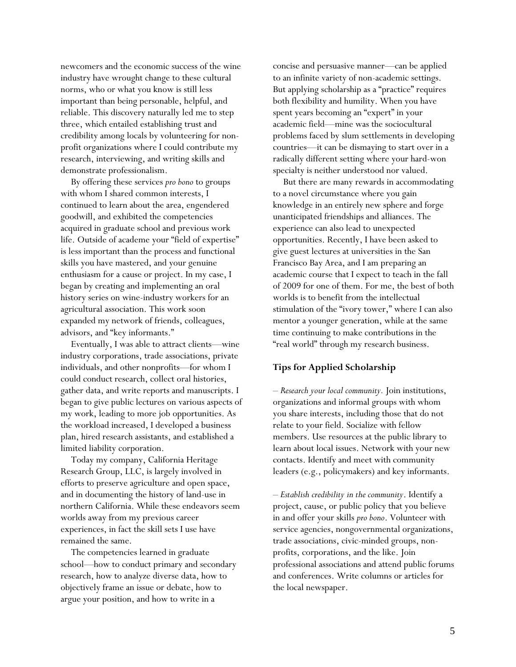newcomers and the economic success of the wine industry have wrought change to these cultural norms, who or what you know is still less important than being personable, helpful, and reliable. This discovery naturally led me to step three, which entailed establishing trust and credibility among locals by volunteering for nonprofit organizations where I could contribute my research, interviewing, and writing skills and demonstrate professionalism.

By offering these services *pro bono* to groups with whom I shared common interests, I continued to learn about the area, engendered goodwill, and exhibited the competencies acquired in graduate school and previous work life. Outside of academe your "field of expertise" is less important than the process and functional skills you have mastered, and your genuine enthusiasm for a cause or project. In my case, I began by creating and implementing an oral history series on wine-industry workers for an agricultural association. This work soon expanded my network of friends, colleagues, advisors, and "key informants."

Eventually, I was able to attract clients—wine industry corporations, trade associations, private individuals, and other nonprofits—for whom I could conduct research, collect oral histories, gather data, and write reports and manuscripts. I began to give public lectures on various aspects of my work, leading to more job opportunities. As the workload increased, I developed a business plan, hired research assistants, and established a limited liability corporation.

Today my company, California Heritage Research Group, LLC, is largely involved in efforts to preserve agriculture and open space, and in documenting the history of land-use in northern California. While these endeavors seem worlds away from my previous career experiences, in fact the skill sets I use have remained the same.

The competencies learned in graduate school—how to conduct primary and secondary research, how to analyze diverse data, how to objectively frame an issue or debate, how to argue your position, and how to write in a

concise and persuasive manner—can be applied to an infinite variety of non-academic settings. But applying scholarship as a "practice" requires both flexibility and humility. When you have spent years becoming an "expert" in your academic field—mine was the sociocultural problems faced by slum settlements in developing countries—it can be dismaying to start over in a radically different setting where your hard-won specialty is neither understood nor valued.

But there are many rewards in accommodating to a novel circumstance where you gain knowledge in an entirely new sphere and forge unanticipated friendships and alliances. The experience can also lead to unexpected opportunities. Recently, I have been asked to give guest lectures at universities in the San Francisco Bay Area, and I am preparing an academic course that I expect to teach in the fall of 2009 for one of them. For me, the best of both worlds is to benefit from the intellectual stimulation of the "ivory tower," where I can also mentor a younger generation, while at the same time continuing to make contributions in the "real world" through my research business.

#### **Tips for Applied Scholarship**

*– Research your local community.* Join institutions, organizations and informal groups with whom you share interests, including those that do not relate to your field. Socialize with fellow members. Use resources at the public library to learn about local issues. Network with your new contacts. Identify and meet with community leaders (e.g., policymakers) and key informants.

*– Establish credibility in the community*. Identify a project, cause, or public policy that you believe in and offer your skills *pro bono*. Volunteer with service agencies, nongovernmental organizations, trade associations, civic-minded groups, nonprofits, corporations, and the like. Join professional associations and attend public forums and conferences. Write columns or articles for the local newspaper.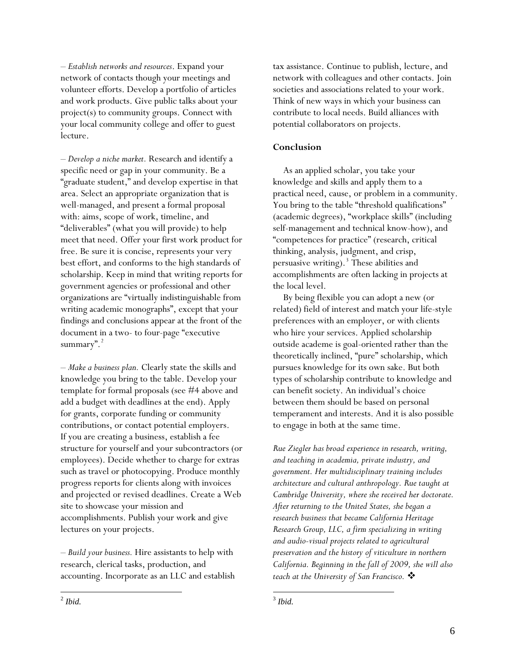*– Establish networks and resources*. Expand your network of contacts though your meetings and volunteer efforts. Develop a portfolio of articles and work products. Give public talks about your project(s) to community groups. Connect with your local community college and offer to guest lecture.

*– Develop a niche market.* Research and identify a specific need or gap in your community. Be a "graduate student," and develop expertise in that area. Select an appropriate organization that is well-managed, and present a formal proposal with: aims, scope of work, timeline, and "deliverables" (what you will provide) to help meet that need. Offer your first work product for free. Be sure it is concise, represents your very best effort, and conforms to the high standards of scholarship. Keep in mind that writing reports for government agencies or professional and other organizations are "virtually indistinguishable from writing academic monographs", except that your findings and conclusions appear at the front of the document in a two- to four-page "executive summary".<sup>[2](#page-5-0)</sup>

*– Make a business plan.* Clearly state the skills and knowledge you bring to the table. Develop your template for formal proposals (see #4 above and add a budget with deadlines at the end). Apply for grants, corporate funding or community contributions, or contact potential employers. If you are creating a business, establish a fee structure for yourself and your subcontractors (or employees). Decide whether to charge for extras such as travel or photocopying. Produce monthly progress reports for clients along with invoices and projected or revised deadlines. Create a Web site to showcase your mission and accomplishments. Publish your work and give lectures on your projects.

*– Build your business.* Hire assistants to help with research, clerical tasks, production, and accounting. Incorporate as an LLC and establish tax assistance. Continue to publish, lecture, and network with colleagues and other contacts. Join societies and associations related to your work. Think of new ways in which your business can contribute to local needs. Build alliances with potential collaborators on projects.

## **Conclusion**

As an applied scholar, you take your knowledge and skills and apply them to a practical need, cause, or problem in a community. You bring to the table "threshold qualifications" (academic degrees), "workplace skills" (including self-management and technical know-how), and "competences for practice" (research, critical thinking, analysis, judgment, and crisp, persuasive writing).<sup>[3](#page-5-0)</sup> These abilities and accomplishments are often lacking in projects at the local level.

By being flexible you can adopt a new (or related) field of interest and match your life-style preferences with an employer, or with clients who hire your services. Applied scholarship outside academe is goal-oriented rather than the theoretically inclined, "pure" scholarship, which pursues knowledge for its own sake. But both types of scholarship contribute to knowledge and can benefit society. An individual's choice between them should be based on personal temperament and interests. And it is also possible to engage in both at the same time.

*Rue Ziegler has broad experience in research, writing, and teaching in academia, private industry, and government. Her multidisciplinary training includes architecture and cultural anthropology. Rue taught at Cambridge University, where she received her doctorate. After returning to the United States, she began a research business that became California Heritage Research Group, LLC, a firm specializing in writing and audio-visual projects related to agricultural preservation and the history of viticulture in northern California. Beginning in the fall of 2009, she will also teach at the University of San Francisco.* 

<span id="page-5-0"></span> <sup>2</sup> *Ibid.*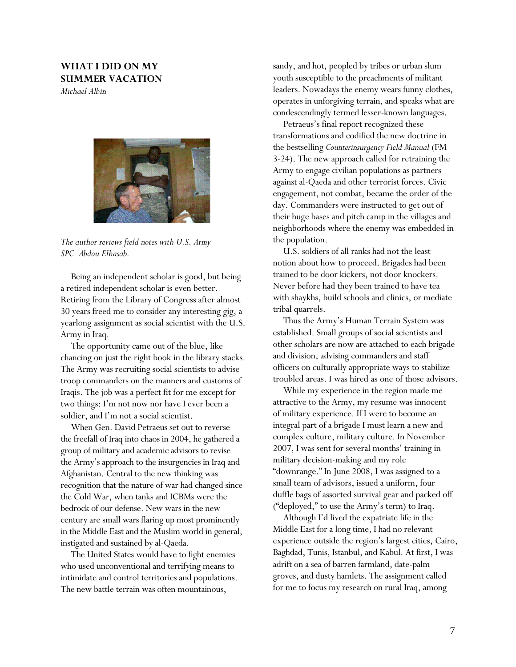## <span id="page-6-0"></span>**WHAT I DID ON MY SUMMER VACATION**

*Michael Albin* 



*The author reviews field notes with U.S. Army SPC Abdou Elhasab.* 

Being an independent scholar is good, but being a retired independent scholar is even better. Retiring from the Library of Congress after almost 30 years freed me to consider any interesting gig, a yearlong assignment as social scientist with the U.S. Army in Iraq.

The opportunity came out of the blue, like chancing on just the right book in the library stacks. The Army was recruiting social scientists to advise troop commanders on the manners and customs of Iraqis. The job was a perfect fit for me except for two things: I'm not now nor have I ever been a soldier, and I'm not a social scientist.

When Gen. David Petraeus set out to reverse the freefall of Iraq into chaos in 2004, he gathered a group of military and academic advisors to revise the Army's approach to the insurgencies in Iraq and Afghanistan. Central to the new thinking was recognition that the nature of war had changed since the Cold War, when tanks and ICBMs were the bedrock of our defense. New wars in the new century are small wars flaring up most prominently in the Middle East and the Muslim world in general, instigated and sustained by al-Qaeda.

The United States would have to fight enemies who used unconventional and terrifying means to intimidate and control territories and populations. The new battle terrain was often mountainous,

sandy, and hot, peopled by tribes or urban slum youth susceptible to the preachments of militant leaders. Nowadays the enemy wears funny clothes, operates in unforgiving terrain, and speaks what are condescendingly termed lesser-known languages.

Petraeus's final report recognized these transformations and codified the new doctrine in the bestselling *Counterinsurgency Field Manual* (FM 3-24). The new approach called for retraining the Army to engage civilian populations as partners against al-Qaeda and other terrorist forces. Civic engagement, not combat, became the order of the day. Commanders were instructed to get out of their huge bases and pitch camp in the villages and neighborhoods where the enemy was embedded in the population.

U.S. soldiers of all ranks had not the least notion about how to proceed. Brigades had been trained to be door kickers, not door knockers. Never before had they been trained to have tea with shaykhs, build schools and clinics, or mediate tribal quarrels.

Thus the Army's Human Terrain System was established. Small groups of social scientists and other scholars are now are attached to each brigade and division, advising commanders and staff officers on culturally appropriate ways to stabilize troubled areas. I was hired as one of those advisors.

While my experience in the region made me attractive to the Army, my resume was innocent of military experience. If I were to become an integral part of a brigade I must learn a new and complex culture, military culture. In November 2007, I was sent for several months' training in military decision-making and my role "downrange." In June 2008, I was assigned to a small team of advisors, issued a uniform, four duffle bags of assorted survival gear and packed off ("deployed," to use the Army's term) to Iraq.

Although I'd lived the expatriate life in the Middle East for a long time, I had no relevant experience outside the region's largest cities, Cairo, Baghdad, Tunis, Istanbul, and Kabul. At first, I was adrift on a sea of barren farmland, date-palm groves, and dusty hamlets. The assignment called for me to focus my research on rural Iraq, among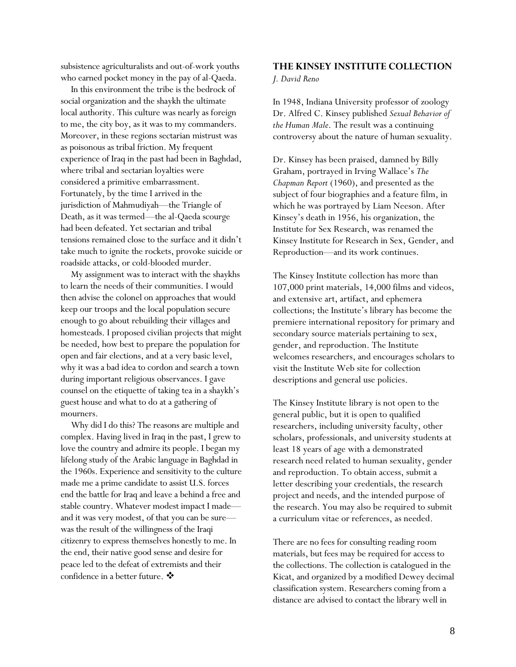<span id="page-7-0"></span>subsistence agriculturalists and out-of-work youths who earned pocket money in the pay of al-Qaeda.

In this environment the tribe is the bedrock of social organization and the shaykh the ultimate local authority. This culture was nearly as foreign to me, the city boy, as it was to my commanders. Moreover, in these regions sectarian mistrust was as poisonous as tribal friction. My frequent experience of Iraq in the past had been in Baghdad, where tribal and sectarian loyalties were considered a primitive embarrassment. Fortunately, by the time I arrived in the jurisdiction of Mahmudiyah—the Triangle of Death, as it was termed—the al-Qaeda scourge had been defeated. Yet sectarian and tribal tensions remained close to the surface and it didn't take much to ignite the rockets, provoke suicide or roadside attacks, or cold-blooded murder.

My assignment was to interact with the shaykhs to learn the needs of their communities. I would then advise the colonel on approaches that would keep our troops and the local population secure enough to go about rebuilding their villages and homesteads. I proposed civilian projects that might be needed, how best to prepare the population for open and fair elections, and at a very basic level, why it was a bad idea to cordon and search a town during important religious observances. I gave counsel on the etiquette of taking tea in a shaykh's guest house and what to do at a gathering of mourners.

Why did I do this? The reasons are multiple and complex. Having lived in Iraq in the past, I grew to love the country and admire its people. I began my lifelong study of the Arabic language in Baghdad in the 1960s. Experience and sensitivity to the culture made me a prime candidate to assist U.S. forces end the battle for Iraq and leave a behind a free and stable country. Whatever modest impact I made and it was very modest, of that you can be sure was the result of the willingness of the Iraqi citizenry to express themselves honestly to me. In the end, their native good sense and desire for peace led to the defeat of extremists and their confidence in a better future. ❖

#### **THE KINSEY INSTITUTE COLLECTION**

#### *J. David Reno*

In 1948, Indiana University professor of zoology Dr. Alfred C. Kinsey published *Sexual Behavior of the Human Male*. The result was a continuing controversy about the nature of human sexuality.

Dr. Kinsey has been praised, damned by Billy Graham, portrayed in Irving Wallace's *The Chapman Report* (1960), and presented as the subject of four biographies and a feature film, in which he was portrayed by Liam Neeson. After Kinsey's death in 1956, his organization, the Institute for Sex Research, was renamed the Kinsey Institute for Research in Sex, Gender, and Reproduction—and its work continues.

The Kinsey Institute collection has more than 107,000 print materials, 14,000 films and videos, and extensive art, artifact, and ephemera collections; the Institute's library has become the premiere international repository for primary and secondary source materials pertaining to sex, gender, and reproduction. The Institute welcomes researchers, and encourages scholars to visit the Institute Web site for collection descriptions and general use policies.

The Kinsey Institute library is not open to the general public, but it is open to qualified researchers, including university faculty, other scholars, professionals, and university students at least 18 years of age with a demonstrated research need related to human sexuality, gender and reproduction. To obtain access, submit a letter describing your credentials, the research project and needs, and the intended purpose of the research. You may also be required to submit a curriculum vitae or references, as needed.

There are no fees for consulting reading room materials, but fees may be required for access to the collections. The collection is catalogued in the Kicat, and organized by a modified Dewey decimal classification system. Researchers coming from a distance are advised to contact the library well in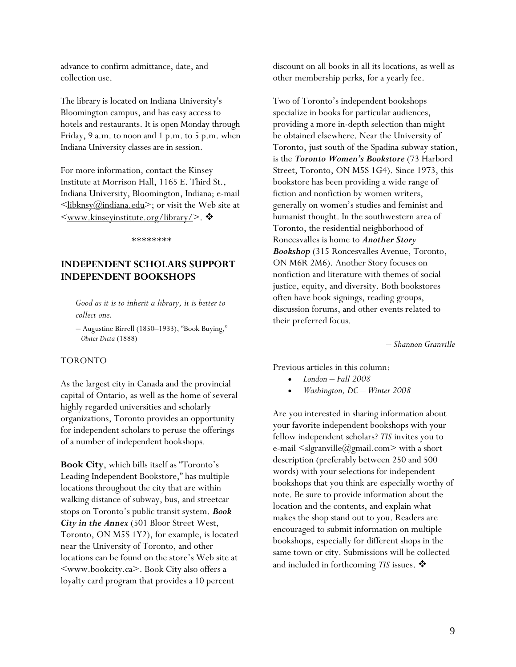<span id="page-8-0"></span>advance to confirm admittance, date, and collection use.

The library is located on Indiana University's Bloomington campus, and has easy access to hotels and restaurants. It is open Monday through Friday, 9 a.m. to noon and 1 p.m. to 5 p.m. when Indiana University classes are in session.

For more information, contact the Kinsey Institute at Morrison Hall, 1165 E. Third St., Indiana University, Bloomington, Indiana; e-mail  $\leq$ libknsy@indiana.edu>; or visit the Web site at  $\langle$ www.kinseyinstitute.org/library/>.  $\clubsuit$ 

\*\*\*\*\*\*\*\*

## **INDEPENDENT SCHOLARS SUPPORT INDEPENDENT BOOKSHOPS**

*Good as it is to inherit a library, it is better to collect one.* 

*–* Augustine Birrell (1850–1933), "Book Buying,"  *Obiter Dicta* (1888)

#### TORONTO

As the largest city in Canada and the provincial capital of Ontario, as well as the home of several highly regarded universities and scholarly organizations, Toronto provides an opportunity for independent scholars to peruse the offerings of a number of independent bookshops.

**Book City**, which bills itself as "Toronto's Leading Independent Bookstore," has multiple locations throughout the city that are within walking distance of subway, bus, and streetcar stops on Toronto's public transit system. *Book City in the Annex* (501 Bloor Street West, Toronto, ON M5S 1Y2), for example, is located near the University of Toronto, and other locations can be found on the store's Web site at [<www.bookcity.ca](http://www.bookcity.ca/)>. Book City also offers a loyalty card program that provides a 10 percent

discount on all books in all its locations, as well as other membership perks, for a yearly fee.

Two of Toronto's independent bookshops specialize in books for particular audiences, providing a more in-depth selection than might be obtained elsewhere. Near the University of Toronto, just south of the Spadina subway station, is the *Toronto Women's Bookstore* (73 Harbord Street, Toronto, ON M5S 1G4). Since 1973, this bookstore has been providing a wide range of fiction and nonfiction by women writers, generally on women's studies and feminist and humanist thought. In the southwestern area of Toronto, the residential neighborhood of Roncesvalles is home to *Another Story Bookshop* (315 Roncesvalles Avenue, Toronto, ON M6R 2M6). Another Story focuses on nonfiction and literature with themes of social justice, equity, and diversity. Both bookstores often have book signings, reading groups, discussion forums, and other events related to their preferred focus.

*– Shannon Granville* 

Previous articles in this column:

- *London Fall 2008*
- *Washington, DC Winter 2008*

Are you interested in sharing information about your favorite independent bookshops with your fellow independent scholars? *TIS* invites you to e-mail  $\leq$ [slgranville@gmail.com>](mailto:slgranville@gmail.com) with a short description (preferably between 250 and 500 words) with your selections for independent bookshops that you think are especially worthy of note. Be sure to provide information about the location and the contents, and explain what makes the shop stand out to you. Readers are encouraged to submit information on multiple bookshops, especially for different shops in the same town or city. Submissions will be collected and included in forthcoming *TIS* issues.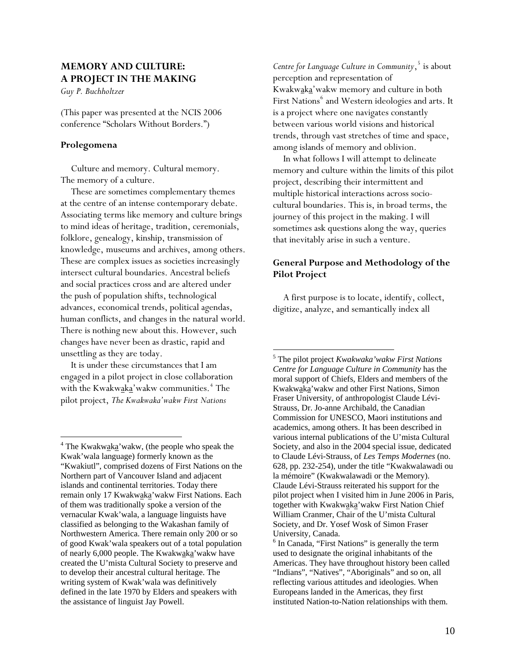## <span id="page-9-0"></span>**MEMORY AND CULTURE: A PROJECT IN THE MAKING**

*Guy P. Buchholtzer* 

(This paper was presented at the NCIS 2006 conference "Scholars Without Borders.")

#### **Prolegomena**

 $\overline{a}$ 

Culture and memory. Cultural memory. The memory of a culture.

These are sometimes complementary themes at the centre of an intense contemporary debate. Associating terms like memory and culture brings to mind ideas of heritage, tradition, ceremonials, folklore, genealogy, kinship, transmission of knowledge, museums and archives, among others. These are complex issues as societies increasingly intersect cultural boundaries. Ancestral beliefs and social practices cross and are altered under the push of population shifts, technological advances, economical trends, political agendas, human conflicts, and changes in the natural world. There is nothing new about this. However, such changes have never been as drastic, rapid and unsettling as they are today.

<span id="page-9-2"></span>It is under these circumstances that I am engaged in a pilot project in close collaboration with the Kwakw<u>aka</u>'wakw communities.<sup>[4](#page-9-1)</sup> The pilot project, *The Kwakwaka'wakw First Nations* 

*Centre for Language Culture in Community*, [5](#page-9-2) is about perception and representation of Kwakwaka'wakw memory and culture in both First Nations<sup>[6](#page-9-3)</sup> and Western ideologies and arts. It is a project where one navigates constantly between various world visions and historical trends, through vast stretches of time and space, among islands of memory and oblivion.

In what follows I will attempt to delineate memory and culture within the limits of this pilot project, describing their intermittent and multiple historical interactions across sociocultural boundaries. This is, in broad terms, the journey of this project in the making. I will sometimes ask questions along the way, queries that inevitably arise in such a venture.

## **General Purpose and Methodology of the Pilot Project**

A first purpose is to locate, identify, collect, digitize, analyze, and semantically index all

<span id="page-9-3"></span><span id="page-9-1"></span> $4$  The Kwakwaka' wakw, (the people who speak the Kwak'wala language) formerly known as the "Kwakiutl", comprised dozens of First Nations on the Northern part of Vancouver Island and adjacent islands and continental territories. Today there remain only 17 Kwakwaka'wakw First Nations. Each of them was traditionally spoke a version of the vernacular Kwak'wala, a language linguists have classified as belonging to the Wakashan family of Northwestern America. There remain only 200 or so of good Kwak'wala speakers out of a total population of nearly 6,000 people. The Kwakwaka' wakw have created the U'mista Cultural Society to preserve and to develop their ancestral cultural heritage. The writing system of Kwak'wala was definitively defined in the late 1970 by Elders and speakers with the assistance of linguist Jay Powell.

<sup>5</sup> The pilot project *Kwakwaka'wakw First Nations Centre for Language Culture in Community* has the moral support of Chiefs, Elders and members of the Kwakwaka'wakw and other First Nations, Simon Fraser University, of anthropologist Claude Lévi-Strauss, Dr. Jo-anne Archibald, the Canadian Commission for UNESCO, Maori institutions and academics, among others. It has been described in various internal publications of the U'mista Cultural Society, and also in the 2004 special issue, dedicated to Claude Lévi-Strauss, of *Les Temps Modernes* (no. 628, pp. 232-254), under the title "Kwakwalawadi ou la mémoire" (Kwakwalawadi or the Memory). Claude Lévi-Strauss reiterated his support for the pilot project when I visited him in June 2006 in Paris, together with Kwakwaka' wakw First Nation Chief William Cranmer, Chair of the U'mista Cultural Society, and Dr. Yosef Wosk of Simon Fraser University, Canada.

<sup>&</sup>lt;sup>6</sup> In Canada, "First Nations" is generally the term used to designate the original inhabitants of the Americas. They have throughout history been called "Indians", "Natives", "Aboriginals" and so on, all reflecting various attitudes and ideologies. When Europeans landed in the Americas, they first instituted Nation-to-Nation relationships with them.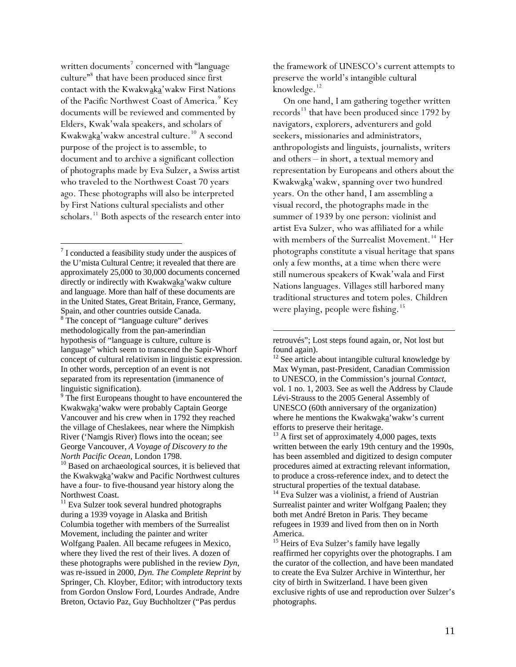written documents<sup>[7](#page-10-0)</sup> concerned with "language culture"<sup>[8](#page-10-1)</sup> that have been produced since first contact with the Kwakwaka'wakw First Nations of the Pacific Northwest Coast of America.<sup>[9](#page-10-2)</sup> Key documents will be reviewed and commented by Elders, Kwak'wala speakers, and scholars of Kwakwaka'wakw ancestral culture.[10](#page-10-3) A second purpose of the project is to assemble, to document and to archive a significant collection of photographs made by Eva Sulzer, a Swiss artist who traveled to the Northwest Coast 70 years ago. These photographs will also be interpreted by First Nations cultural specialists and other scholars.<sup>[11](#page-10-4)</sup> Both aspects of the research enter into

<span id="page-10-0"></span> $7$  I conducted a feasibility study under the auspices of the U'mista Cultural Centre; it revealed that there are approximately 25,000 to 30,000 documents concerned directly or indirectly with Kwakwaka'wakw culture and language. More than half of these documents are in the United States, Great Britain, France, Germany, Spain, and other countries outside Canada.

 $\overline{a}$ 

<span id="page-10-5"></span><span id="page-10-1"></span><sup>8</sup> The concept of "language culture" derives methodologically from the pan-amerindian hypothesis of "language is culture, culture is language" which seem to transcend the Sapir-Whorf concept of cultural relativism in linguistic expression. In other words, perception of an event is not separated from its representation (immanence of linguistic signification).

<span id="page-10-2"></span><sup>9</sup> The first Europeans thought to have encountered the Kwakwaka'wakw were probably Captain George Vancouver and his crew when in 1792 they reached the village of Cheslakees, near where the Nimpkish River ('Namgis River) flows into the ocean; see George Vancouver, *A Voyage of Discovery to the North Pacific Ocean*, London 1798.<br><sup>10</sup> Based on archaeological sources, it is believed that

<span id="page-10-6"></span><span id="page-10-3"></span>the Kwakwaka'wakw and Pacific Northwest cultures have a four- to five-thousand year history along the Northwest Coast.

<span id="page-10-8"></span><span id="page-10-7"></span><span id="page-10-4"></span><sup>11</sup> Eva Sulzer took several hundred photographs during a 1939 voyage in Alaska and British Columbia together with members of the Surrealist Movement, including the painter and writer Wolfgang Paalen. All became refugees in Mexico, where they lived the rest of their lives. A dozen of these photographs were published in the review *Dyn*, was re-issued in 2000, *Dyn. The Complete Reprint* by Springer, Ch. Kloyber, Editor; with introductory texts from Gordon Onslow Ford, Lourdes Andrade, Andre Breton, Octavio Paz, Guy Buchholtzer ("Pas perdus

the framework of UNESCO's current attempts to preserve the world's intangible cultural knowledge.<sup>[12](#page-10-5)</sup>

On one hand, I am gathering together written records<sup>[13](#page-10-6)</sup> that have been produced since 1792 by navigators, explorers, adventurers and gold seekers, missionaries and administrators, anthropologists and linguists, journalists, writers and others – in short, a textual memory and representation by Europeans and others about the Kwakwaka'wakw, spanning over two hundred years. On the other hand, I am assembling a visual record, the photographs made in the summer of 1939 by one person: violinist and artist Eva Sulzer, who was affiliated for a while with members of the Surrealist Movement.<sup>[14](#page-10-7)</sup> Her photographs constitute a visual heritage that spans only a few months, at a time when there were still numerous speakers of Kwak'wala and First Nations languages. Villages still harbored many traditional structures and totem poles. Children were playing, people were fishing.<sup>[15](#page-10-8)</sup>

retrouvés"; Lost steps found again, or, Not lost but found again).

 $\overline{a}$ 

 $12$  See article about intangible cultural knowledge by Max Wyman, past-President, Canadian Commission to UNESCO, in the Commission's journal *Contact*, vol. 1 no. 1, 2003. See as well the Address by Claude Lévi-Strauss to the 2005 General Assembly of UNESCO (60th anniversary of the organization) where he mentions the Kwakwaka'wakw's current efforts to preserve their heritage.

 $13$  A first set of approximately 4,000 pages, texts written between the early 19th century and the 1990s, has been assembled and digitized to design computer procedures aimed at extracting relevant information, to produce a cross-reference index, and to detect the structural properties of the textual database.

<sup>14</sup> Eva Sulzer was a violinist, a friend of Austrian Surrealist painter and writer Wolfgang Paalen; they both met André Breton in Paris. They became refugees in 1939 and lived from then on in North America.

<sup>15</sup> Heirs of Eva Sulzer's family have legally reaffirmed her copyrights over the photographs. I am the curator of the collection, and have been mandated to create the Eva Sulzer Archive in Winterthur, her city of birth in Switzerland. I have been given exclusive rights of use and reproduction over Sulzer's photographs.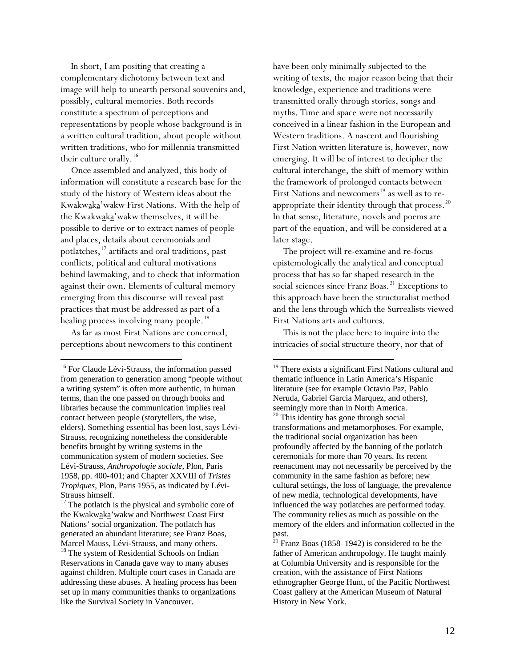In short, I am positing that creating a complementary dichotomy between text and image will help to unearth personal souvenirs and, possibly, cultural memories. Both records constitute a spectrum of perceptions and representations by people whose background is in a written cultural tradition, about people without written traditions, who for millennia transmitted their culture orally.<sup>[16](#page-11-0)</sup>

Once assembled and analyzed, this body of information will constitute a research base for the study of the history of Western ideas about the Kwakwaka'wakw First Nations. With the help of the Kwakwaka'wakw themselves, it will be possible to derive or to extract names of people and places, details about ceremonials and potlatches,[17](#page-11-1) artifacts and oral traditions, past conflicts, political and cultural motivations behind lawmaking, and to check that information against their own. Elements of cultural memory emerging from this discourse will reveal past practices that must be addressed as part of a healing process involving many people.<sup>[18](#page-11-2)</sup>

As far as most First Nations are concerned, perceptions about newcomers to this continent

 $\overline{a}$ 

have been only minimally subjected to the writing of texts, the major reason being that their knowledge, experience and traditions were transmitted orally through stories, songs and myths. Time and space were not necessarily conceived in a linear fashion in the European and Western traditions. A nascent and flourishing First Nation written literature is, however, now emerging. It will be of interest to decipher the cultural interchange, the shift of memory within the framework of prolonged contacts between First Nations and newcomers<sup>[19](#page-11-0)</sup> as well as to reappropriate their identity through that process. $^{20}$  $^{20}$  $^{20}$ In that sense, literature, novels and poems are part of the equation, and will be considered at a later stage.

The project will re-examine and re-focus epistemologically the analytical and conceptual process that has so far shaped research in the social sciences since Franz Boas.<sup>[21](#page-11-4)</sup> Exceptions to this approach have been the structuralist method and the lens through which the Surrealists viewed First Nations arts and cultures.

This is not the place here to inquire into the intricacies of social structure theory, nor that of

<span id="page-11-3"></span><span id="page-11-0"></span><sup>&</sup>lt;sup>16</sup> For Claude Lévi-Strauss, the information passed from generation to generation among "people without a writing system" is often more authentic, in human terms, than the one passed on through books and libraries because the communication implies real contact between people (storytellers, the wise, elders). Something essential has been lost, says Lévi-Strauss, recognizing nonetheless the considerable benefits brought by writing systems in the communication system of modern societies. See Lévi-Strauss, *Anthropologie sociale*, Plon, Paris 1958, pp. 400-401; and Chapter XXVIII of *Tristes Tropiques*, Plon, Paris 1955, as indicated by Lévi-Strauss himself.

<span id="page-11-1"></span><sup>&</sup>lt;sup>17</sup> The potlatch is the physical and symbolic core of the Kwakwaka'wakw and Northwest Coast First Nations' social organization. The potlatch has generated an abundant literature; see Franz Boas, Marcel Mauss, Lévi-Strauss, and many others.

<span id="page-11-4"></span><span id="page-11-2"></span><sup>&</sup>lt;sup>18</sup> The system of Residential Schools on Indian Reservations in Canada gave way to many abuses against children. Multiple court cases in Canada are addressing these abuses. A healing process has been set up in many communities thanks to organizations like the Survival Society in Vancouver.

<sup>&</sup>lt;sup>19</sup> There exists a significant First Nations cultural and thematic influence in Latin America's Hispanic literature (see for example Octavio Paz, Pablo Neruda, Gabriel Garcia Marquez, and others), seemingly more than in North America. <sup>20</sup> This identity has gone through social transformations and metamorphoses. For example, the traditional social organization has been profoundly affected by the banning of the potlatch ceremonials for more than 70 years. Its recent reenactment may not necessarily be perceived by the community in the same fashion as before; new cultural settings, the loss of language, the prevalence of new media, technological developments, have influenced the way potlatches are performed today. The community relies as much as possible on the memory of the elders and information collected in the past.<br> $^{21}$  Fr:

Franz Boas (1858–1942) is considered to be the father of American anthropology. He taught mainly at Columbia University and is responsible for the creation, with the assistance of First Nations ethnographer George Hunt, of the Pacific Northwest Coast gallery at the American Museum of Natural History in New York.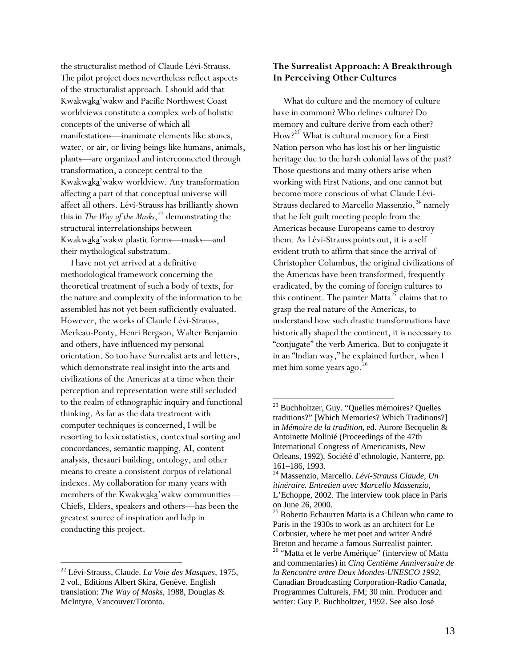the structuralist method of Claude Lévi-Strauss. The pilot project does nevertheless reflect aspects of the structuralist approach. I should add that Kwakwaka'wakw and Pacific Northwest Coast worldviews constitute a complex web of holistic concepts of the universe of which all manifestations—inanimate elements like stones, water, or air, or living beings like humans, animals, plants—are organized and interconnected through transformation, a concept central to the Kwakwaka'wakw worldview. Any transformation affecting a part of that conceptual universe will affect all others. Lévi-Strauss has brilliantly shown this in *The Way of the Masks*, *[22](#page-12-0)* demonstrating the structural interrelationships between Kwakwaka'wakw plastic forms—masks—and their mythological substratum.

<span id="page-12-1"></span>I have not yet arrived at a definitive methodological framework concerning the theoretical treatment of such a body of texts, for the nature and complexity of the information to be assembled has not yet been sufficiently evaluated. However, the works of Claude Lévi-Strauss, Merleau-Ponty, Henri Bergson, Walter Benjamin and others, have influenced my personal orientation. So too have Surrealist arts and letters, which demonstrate real insight into the arts and civilizations of the Americas at a time when their perception and representation were still secluded to the realm of ethnographic inquiry and functional thinking. As far as the data treatment with computer techniques is concerned, I will be resorting to lexicostatistics, contextual sorting and concordances, semantic mapping, AI, content analysis, thesauri building, ontology, and other means to create a consistent corpus of relational indexes. My collaboration for many years with members of the Kwakwaka'wakw communities— Chiefs, Elders, speakers and others—has been the greatest source of inspiration and help in conducting this project.

<span id="page-12-4"></span><span id="page-12-3"></span><span id="page-12-2"></span> $\overline{a}$ 

## **The Surrealist Approach: A Breakthrough In Perceiving Other Cultures**

What do culture and the memory of culture have in common? Who defines culture? Do memory and culture derive from each other? How?<sup>[23](#page-12-1)</sup> What is cultural memory for a First Nation person who has lost his or her linguistic heritage due to the harsh colonial laws of the past? Those questions and many others arise when working with First Nations, and one cannot but become more conscious of what Claude Lévi-Strauss declared to Marcello Massenzio, $24$  namely that he felt guilt meeting people from the Americas because Europeans came to destroy them. As Lévi-Strauss points out, it is a self evident truth to affirm that since the arrival of Christopher Columbus, the original civilizations of the Americas have been transformed, frequently eradicated, by the coming of foreign cultures to this continent. The painter Matta<sup>[25](#page-12-3)</sup> claims that to grasp the real nature of the Americas, to understand how such drastic transformations have historically shaped the continent, it is necessary to "conjugate" the verb America. But to conjugate it in an "Indian way," he explained further, when I met him some years ago.<sup>[26](#page-12-4)</sup>

<span id="page-12-0"></span><sup>22</sup> Lévi-Strauss, Claude. *La Voie des Masques*, 1975, 2 vol., Editions Albert Skira, Genève. English translation: *The Way of Masks*, 1988, Douglas & McIntyre, Vancouver/Toronto.

<sup>&</sup>lt;sup>23</sup> Buchholtzer, Guy. "Quelles mémoires? Quelles traditions?" [Which Memories? Which Traditions?] in *Mémoire de la tradition*, ed. Aurore Becquelin & Antoinette Molinié (Proceedings of the 47th International Congress of Americanists, New Orleans, 1992), Société d'ethnologie, Nanterre, pp. 161–186, 1993.

<sup>24</sup> Massenzio, Marcello. *Lévi-Strauss Claude, Un itinéraire. Entretien avec Marcello Massenzio*, L'Echoppe, 2002. The interview took place in Paris on June 26, 2000.

<sup>&</sup>lt;sup>25</sup> Roberto Echaurren Matta is a Chilean who came to Paris in the 1930s to work as an architect for Le Corbusier, where he met poet and writer André Breton and became a famous Surrealist painter. <sup>26</sup> "Matta et le verbe Amérique" (interview of Matta and commentaries) in *Cinq Centième Anniversaire de la Rencontre entre Deux Mondes-UNESCO 1992*, Canadian Broadcasting Corporation-Radio Canada, Programmes Culturels, FM; 30 min. Producer and writer: Guy P. Buchholtzer, 1992. See also José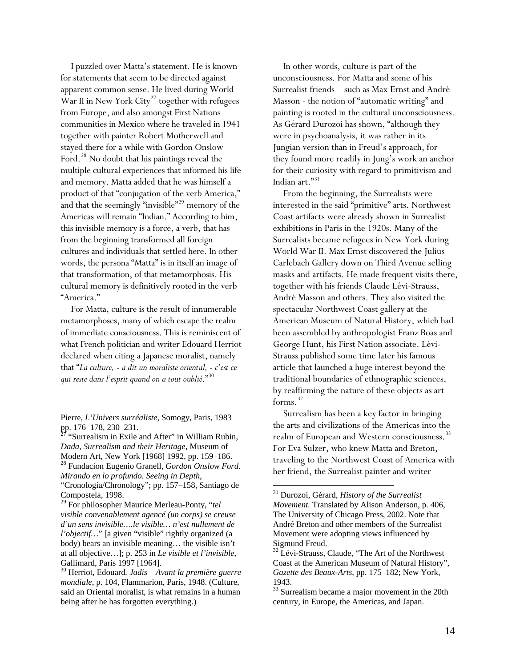I puzzled over Matta's statement. He is known for statements that seem to be directed against apparent common sense. He lived during World War II in New York City<sup>[27](#page-13-0)</sup> together with refugees from Europe, and also amongst First Nations communities in Mexico where he traveled in 1941 together with painter Robert Motherwell and stayed there for a while with Gordon Onslow Ford.<sup>[28](#page-13-1)</sup> No doubt that his paintings reveal the multiple cultural experiences that informed his life and memory. Matta added that he was himself a product of that "conjugation of the verb America," and that the seemingly "invisible"<sup>[29](#page-13-2)</sup> memory of the Americas will remain "Indian." According to him, this invisible memory is a force, a verb, that has from the beginning transformed all foreign cultures and individuals that settled here. In other words, the persona "Matta" is in itself an image of that transformation, of that metamorphosis. His cultural memory is definitively rooted in the verb "America."

For Matta, culture is the result of innumerable metamorphoses, many of which escape the realm of immediate consciousness. This is reminiscent of what French politician and writer Edouard Herriot declared when citing a Japanese moralist, namely that "*La culture, - a dit un moraliste oriental, - c'est ce qui reste dans l'esprit quand on a tout oublié*."[30](#page-13-3)

 $\overline{a}$ 

<span id="page-13-0"></span>"Surrealism in Exile and After" in William Rubin, *Dada, Surrealism and their Heritage*, Museum of Modern Art, New York [1968] 1992, pp. 159–186. 28 Fundacíon Eugenio Granell, *Gordon Onslow Ford. Mirando en lo profundo. Seeing in Depth*,

<span id="page-13-4"></span><span id="page-13-1"></span>"Cronologia/Chronology"; pp. 157–158, Santiago de Compostela, 1998.

<span id="page-13-2"></span>29 For philosopher Maurice Merleau-Ponty, "*tel visible convenablement agencé (un corps) se creuse d'un sens invisible….le visible… n'est nullement de l'objectif…*" [a given "visible" rightly organized (a body) bears an invisible meaning… the visible isn't at all objective…]; p. 253 in *Le visible et l'invisible*, Gallimard, Paris 1997 [1964].

In other words, culture is part of the unconsciousness. For Matta and some of his Surrealist friends – such as Max Ernst and André Masson - the notion of "automatic writing" and painting is rooted in the cultural unconsciousness. As Gérard Durozoi has shown, "although they were in psychoanalysis, it was rather in its Jungian version than in Freud's approach, for they found more readily in Jung's work an anchor for their curiosity with regard to primitivism and Indian art."[31](#page-13-4)

From the beginning, the Surrealists were interested in the said "primitive" arts. Northwest Coast artifacts were already shown in Surrealist exhibitions in Paris in the 1920s. Many of the Surrealists became refugees in New York during World War II. Max Ernst discovered the Julius Carlebach Gallery down on Third Avenue selling masks and artifacts. He made frequent visits there, together with his friends Claude Lévi-Strauss, André Masson and others. They also visited the spectacular Northwest Coast gallery at the American Museum of Natural History, which had been assembled by anthropologist Franz Boas and George Hunt, his First Nation associate. Lévi-Strauss published some time later his famous article that launched a huge interest beyond the traditional boundaries of ethnographic sciences, by reaffirming the nature of these objects as art forms. $32$ 

Surrealism has been a key factor in bringing the arts and civilizations of the Americas into the realm of European and Western consciousness.<sup>[33](#page-13-6)</sup> For Eva Sulzer, who knew Matta and Breton, traveling to the Northwest Coast of America with her friend, the Surrealist painter and writer

Pierre, *L'Univers surréaliste*, Somogy, Paris, 1983 pp. 176–178, 230–231.

<span id="page-13-6"></span><span id="page-13-5"></span><span id="page-13-3"></span><sup>30</sup> Herriot, Edouard*. Jadis – Avant la première guerre mondiale*, p. 104, Flammarion, Paris, 1948. (Culture, said an Oriental moralist, is what remains in a human being after he has forgotten everything.)

<sup>31</sup> Durozoi, Gérard, *History of the Surrealist Movement.* Translated by Alison Anderson, p. 406, The University of Chicago Press, 2002. Note that André Breton and other members of the Surrealist Movement were adopting views influenced by Sigmund Freud.

<sup>&</sup>lt;sup>32</sup> Lévi-Strauss, Claude, "The Art of the Northwest Coast at the American Museum of Natural History", *Gazette des Beaux-Arts*, pp. 175–182; New York, 1943.

<sup>&</sup>lt;sup>33</sup> Surrealism became a major movement in the 20th century, in Europe, the Americas, and Japan.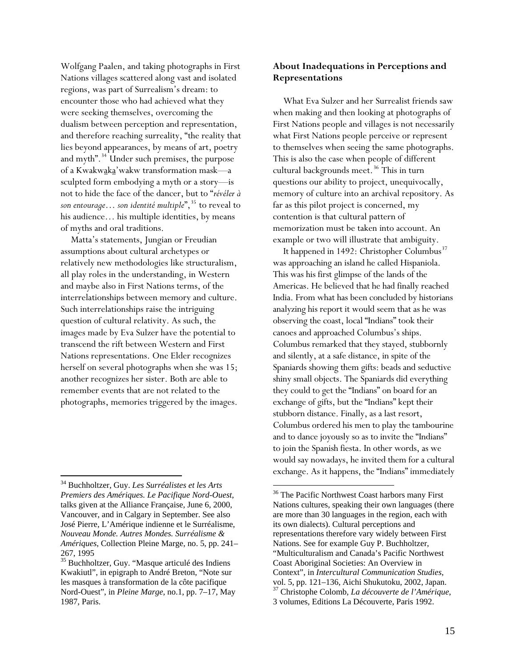Wolfgang Paalen, and taking photographs in First Nations villages scattered along vast and isolated regions, was part of Surrealism's dream: to encounter those who had achieved what they were seeking themselves, overcoming the dualism between perception and representation, and therefore reaching surreality, "the reality that lies beyond appearances, by means of art, poetry and myth".<sup>[34](#page-14-0)</sup> Under such premises, the purpose of a Kwakwaka'wakw transformation mask—a sculpted form embodying a myth or a story—is not to hide the face of the dancer, but to "*révéler à son entourage*... *son identité multiple*",<sup>[35](#page-14-1)</sup> to reveal to his audience… his multiple identities, by means of myths and oral traditions.

Matta's statements, Jungian or Freudian assumptions about cultural archetypes or relatively new methodologies like structuralism, all play roles in the understanding, in Western and maybe also in First Nations terms, of the interrelationships between memory and culture. Such interrelationships raise the intriguing question of cultural relativity. As such, the images made by Eva Sulzer have the potential to transcend the rift between Western and First Nations representations. One Elder recognizes herself on several photographs when she was 15; another recognizes her sister. Both are able to remember events that are not related to the photographs, memories triggered by the images.

## **About Inadequations in Perceptions and Representations**

What Eva Sulzer and her Surrealist friends saw when making and then looking at photographs of First Nations people and villages is not necessarily what First Nations people perceive or represent to themselves when seeing the same photographs. This is also the case when people of different cultural backgrounds meet.<sup>[36](#page-14-2)</sup> This in turn questions our ability to project, unequivocally, memory of culture into an archival repository. As far as this pilot project is concerned, my contention is that cultural pattern of memorization must be taken into account. An example or two will illustrate that ambiguity.

It happened in 1492: Christopher Columbus<sup>[37](#page-14-3)</sup> was approaching an island he called Hispaniola. This was his first glimpse of the lands of the Americas. He believed that he had finally reached India. From what has been concluded by historians analyzing his report it would seem that as he was observing the coast, local "Indians" took their canoes and approached Columbus's ships. Columbus remarked that they stayed, stubbornly and silently, at a safe distance, in spite of the Spaniards showing them gifts: beads and seductive shiny small objects. The Spaniards did everything they could to get the "Indians" on board for an exchange of gifts, but the "Indians" kept their stubborn distance. Finally, as a last resort, Columbus ordered his men to play the tambourine and to dance joyously so as to invite the "Indians" to join the Spanish fiesta. In other words, as we would say nowadays, he invited them for a cultural exchange. As it happens, the "Indians" immediately

<span id="page-14-2"></span><span id="page-14-0"></span> <sup>34</sup> Buchholtzer, Guy. *Les Surréalistes et les Arts Premiers des Amériques. Le Pacifique Nord-Ouest*, talks given at the Alliance Française, June 6, 2000, Vancouver, and in Calgary in September. See also José Pierre, L'Amérique indienne et le Surréalisme, *Nouveau Monde. Autres Mondes. Surréalisme & Amériques*, Collection Pleine Marge, no. 5, pp. 241– 267, 1995

<span id="page-14-3"></span><span id="page-14-1"></span><sup>&</sup>lt;sup>35</sup> Buchholtzer, Guy. "Masque articulé des Indiens Kwakiutl", in epigraph to André Breton, "Note sur les masques à transformation de la côte pacifique Nord-Ouest", in *Pleine Marge*, no.1, pp. 7–17, May 1987, Paris.

<sup>&</sup>lt;sup>36</sup> The Pacific Northwest Coast harbors many First Nations cultures, speaking their own languages (there are more than 30 languages in the region, each with its own dialects). Cultural perceptions and representations therefore vary widely between First Nations. See for example Guy P. Buchholtzer, "Multiculturalism and Canada's Pacific Northwest Coast Aboriginal Societies: An Overview in Context", in *Intercultural Communication Studies*, vol. 5, pp. 121–136, Aichi Shukutoku, 2002, Japan. 37 Christophe Colomb, *La découverte de l'Amérique*, 3 volumes, Editions La Découverte, Paris 1992.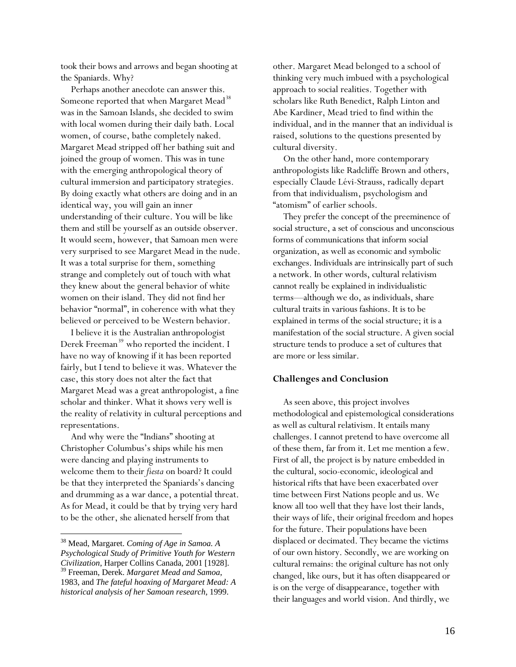took their bows and arrows and began shooting at the Spaniards. Why?

Perhaps another anecdote can answer this. Someone reported that when Margaret Mead<sup>[38](#page-15-0)</sup> was in the Samoan Islands, she decided to swim with local women during their daily bath. Local women, of course, bathe completely naked. Margaret Mead stripped off her bathing suit and joined the group of women. This was in tune with the emerging anthropological theory of cultural immersion and participatory strategies. By doing exactly what others are doing and in an identical way, you will gain an inner understanding of their culture. You will be like them and still be yourself as an outside observer. It would seem, however, that Samoan men were very surprised to see Margaret Mead in the nude. It was a total surprise for them, something strange and completely out of touch with what they knew about the general behavior of white women on their island. They did not find her behavior "normal", in coherence with what they believed or perceived to be Western behavior.

I believe it is the Australian anthropologist Derek Freeman<sup>[39](#page-15-1)</sup> who reported the incident. I have no way of knowing if it has been reported fairly, but I tend to believe it was. Whatever the case, this story does not alter the fact that Margaret Mead was a great anthropologist, a fine scholar and thinker. What it shows very well is the reality of relativity in cultural perceptions and representations.

And why were the "Indians" shooting at Christopher Columbus's ships while his men were dancing and playing instruments to welcome them to their *fiesta* on board? It could be that they interpreted the Spaniards's dancing and drumming as a war dance, a potential threat. As for Mead, it could be that by trying very hard to be the other, she alienated herself from that

 $\overline{a}$ 

other. Margaret Mead belonged to a school of thinking very much imbued with a psychological approach to social realities. Together with scholars like Ruth Benedict, Ralph Linton and Abe Kardiner, Mead tried to find within the individual, and in the manner that an individual is raised, solutions to the questions presented by cultural diversity.

On the other hand, more contemporary anthropologists like Radcliffe Brown and others, especially Claude Lévi-Strauss, radically depart from that individualism, psychologism and "atomism" of earlier schools.

They prefer the concept of the preeminence of social structure, a set of conscious and unconscious forms of communications that inform social organization, as well as economic and symbolic exchanges. Individuals are intrinsically part of such a network. In other words, cultural relativism cannot really be explained in individualistic terms—although we do, as individuals, share cultural traits in various fashions. It is to be explained in terms of the social structure; it is a manifestation of the social structure. A given social structure tends to produce a set of cultures that are more or less similar.

#### **Challenges and Conclusion**

As seen above, this project involves methodological and epistemological considerations as well as cultural relativism. It entails many challenges. I cannot pretend to have overcome all of these them, far from it. Let me mention a few. First of all, the project is by nature embedded in the cultural, socio-economic, ideological and historical rifts that have been exacerbated over time between First Nations people and us. We know all too well that they have lost their lands, their ways of life, their original freedom and hopes for the future. Their populations have been displaced or decimated. They became the victims of our own history. Secondly, we are working on cultural remains: the original culture has not only changed, like ours, but it has often disappeared or is on the verge of disappearance, together with their languages and world vision. And thirdly, we

<span id="page-15-1"></span><span id="page-15-0"></span><sup>38</sup> Mead, Margaret. *Coming of Age in Samoa. A Psychological Study of Primitive Youth for Western Civilization*, Harper Collins Canada, 2001 [1928]. 39 Freeman, Derek. *Margaret Mead and Samoa*, 1983, and *The fateful hoaxing of Margaret Mead: A historical analysis of her Samoan research*, 1999.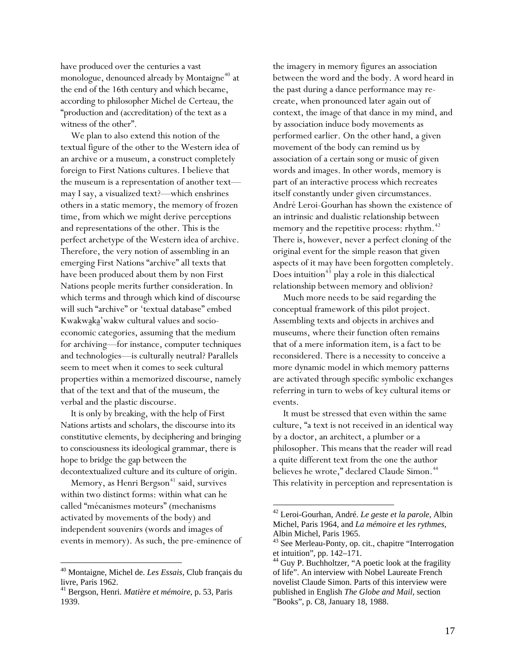have produced over the centuries a vast monologue, denounced already by Montaigne<sup>[40](#page-16-0)</sup> at the end of the 16th century and which became, according to philosopher Michel de Certeau, the "production and (accreditation) of the text as a witness of the other".

We plan to also extend this notion of the textual figure of the other to the Western idea of an archive or a museum, a construct completely foreign to First Nations cultures. I believe that the museum is a representation of another text may I say, a visualized text?—which enshrines others in a static memory, the memory of frozen time, from which we might derive perceptions and representations of the other. This is the perfect archetype of the Western idea of archive. Therefore, the very notion of assembling in an emerging First Nations "archive" all texts that have been produced about them by non First Nations people merits further consideration. In which terms and through which kind of discourse will such "archive" or 'textual database" embed Kwakwaka'wakw cultural values and socioeconomic categories, assuming that the medium for archiving—for instance, computer techniques and technologies—is culturally neutral? Parallels seem to meet when it comes to seek cultural properties within a memorized discourse, namely that of the text and that of the museum, the verbal and the plastic discourse.

It is only by breaking, with the help of First Nations artists and scholars, the discourse into its constitutive elements, by deciphering and bringing to consciousness its ideological grammar, there is hope to bridge the gap between the decontextualized culture and its culture of origin.

<span id="page-16-2"></span>Memory, as Henri Bergson<sup>[41](#page-16-1)</sup> said, survives within two distinct forms: within what can he called "mécanismes moteurs" (mechanisms activated by movements of the body) and independent souvenirs (words and images of events in memory). As such, the pre-eminence of

<span id="page-16-3"></span> $\overline{a}$ 

the imagery in memory figures an association between the word and the body. A word heard in the past during a dance performance may recreate, when pronounced later again out of context, the image of that dance in my mind, and by association induce body movements as performed earlier. On the other hand, a given movement of the body can remind us by association of a certain song or music of given words and images. In other words, memory is part of an interactive process which recreates itself constantly under given circumstances. André Leroi-Gourhan has shown the existence of an intrinsic and dualistic relationship between memory and the repetitive process: rhythm.<sup>[42](#page-16-2)</sup> There is, however, never a perfect cloning of the original event for the simple reason that given aspects of it may have been forgotten completely. Does intuition<sup>[43](#page-16-3)</sup> play a role in this dialectical relationship between memory and oblivion?

Much more needs to be said regarding the conceptual framework of this pilot project. Assembling texts and objects in archives and museums, where their function often remains that of a mere information item, is a fact to be reconsidered. There is a necessity to conceive a more dynamic model in which memory patterns are activated through specific symbolic exchanges referring in turn to webs of key cultural items or events.

It must be stressed that even within the same culture, "a text is not received in an identical way by a doctor, an architect, a plumber or a philosopher. This means that the reader will read a quite different text from the one the author believes he wrote," declared Claude Simon.<sup>[44](#page-16-4)</sup> This relativity in perception and representation is

<span id="page-16-4"></span><span id="page-16-0"></span><sup>40</sup> Montaigne, Michel de. *Les Essais*, Club français du livre, Paris 1962.

<span id="page-16-1"></span><sup>41</sup> Bergson, Henri. *Matière et mémoire*, p. 53, Paris 1939.

<sup>42</sup> Leroi-Gourhan, André. *Le geste et la parole*, Albin Michel, Paris 1964, and *La mémoire et les rythmes*, Albin Michel, Paris 1965.

<sup>&</sup>lt;sup>43</sup> See Merleau-Ponty, op. cit., chapitre "Interrogation et intuition", pp. 142–171.

 $44$  Guy P. Buchholtzer, "A poetic look at the fragility of life". An interview with Nobel Laureate French novelist Claude Simon. Parts of this interview were published in English *The Globe and Mail*, section "Books", p. C8, January 18, 1988.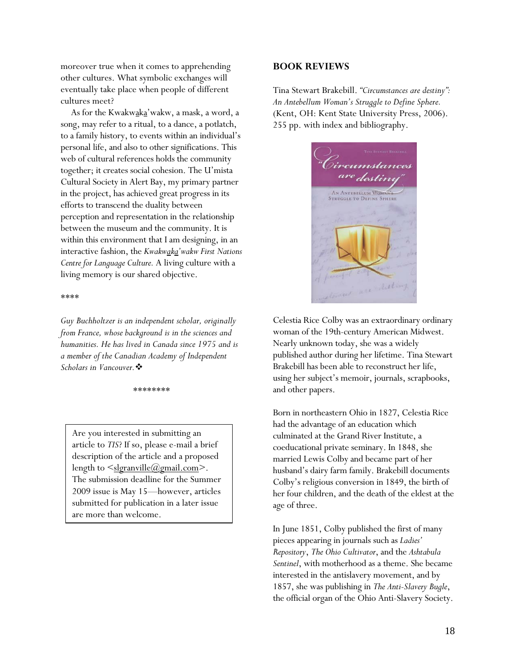<span id="page-17-0"></span>moreover true when it comes to apprehending other cultures. What symbolic exchanges will eventually take place when people of different cultures meet?

As for the Kwakwaka'wakw, a mask, a word, a song, may refer to a ritual, to a dance, a potlatch, to a family history, to events within an individual's personal life, and also to other significations. This web of cultural references holds the community together; it creates social cohesion. The U'mista Cultural Society in Alert Bay, my primary partner in the project, has achieved great progress in its efforts to transcend the duality between perception and representation in the relationship between the museum and the community. It is within this environment that I am designing, in an interactive fashion, the *Kwakwaka'wakw First Nations Centre for Language Culture.* A living culture with a living memory is our shared objective.

#### \*\*\*\*

*Guy Buchholtzer is an independent scholar, originally from France, whose background is in the sciences and humanities. He has lived in Canada since 1975 and is a member of the Canadian Academy of Independent Scholars in Vancouver.*

#### \*\*\*\*\*\*\*\*

Are you interested in submitting an article to *TIS*? If so, please e-mail a brief description of the article and a proposed length to  $\leq$ slgranville@gmail.com>. The submission deadline for the Summer 2009 issue is May 15—however, articles submitted for publication in a later issue are more than welcome.

#### **BOOK REVIEWS**

Tina Stewart Brakebill. *"Circumstances are destiny": An Antebellum Woman's Struggle to Define Sphere.* (Kent, OH: Kent State University Press, 2006). 255 pp. with index and bibliography.



Celestia Rice Colby was an extraordinary ordinary woman of the 19th-century American Midwest. Nearly unknown today, she was a widely published author during her lifetime. Tina Stewart Brakebill has been able to reconstruct her life, using her subject's memoir, journals, scrapbooks, and other papers.

Born in northeastern Ohio in 1827, Celestia Rice had the advantage of an education which culminated at the Grand River Institute, a coeducational private seminary. In 1848, she married Lewis Colby and became part of her husband's dairy farm family. Brakebill documents Colby's religious conversion in 1849, the birth of her four children, and the death of the eldest at the age of three.

In June 1851, Colby published the first of many pieces appearing in journals such as *Ladies' Repository*, *The Ohio Cultivator*, and the *Ashtabula Sentinel*, with motherhood as a theme. She became interested in the antislavery movement, and by 1857, she was publishing in *The Anti-Slavery Bugle*, the official organ of the Ohio Anti-Slavery Society.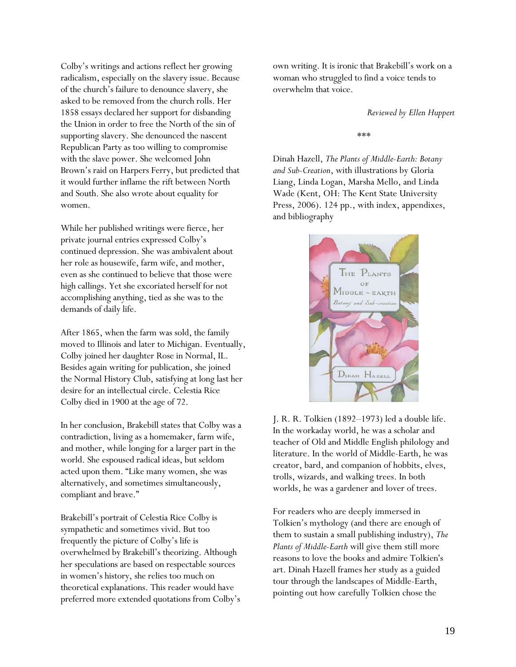Colby's writings and actions reflect her growing radicalism, especially on the slavery issue. Because of the church's failure to denounce slavery, she asked to be removed from the church rolls. Her 1858 essays declared her support for disbanding the Union in order to free the North of the sin of supporting slavery. She denounced the nascent Republican Party as too willing to compromise with the slave power. She welcomed John Brown's raid on Harpers Ferry, but predicted that it would further inflame the rift between North and South. She also wrote about equality for women.

While her published writings were fierce, her private journal entries expressed Colby's continued depression. She was ambivalent about her role as housewife, farm wife, and mother, even as she continued to believe that those were high callings. Yet she excoriated herself for not accomplishing anything, tied as she was to the demands of daily life.

After 1865, when the farm was sold, the family moved to Illinois and later to Michigan. Eventually, Colby joined her daughter Rose in Normal, IL. Besides again writing for publication, she joined the Normal History Club, satisfying at long last her desire for an intellectual circle. Celestia Rice Colby died in 1900 at the age of 72.

In her conclusion, Brakebill states that Colby was a contradiction, living as a homemaker, farm wife, and mother, while longing for a larger part in the world. She espoused radical ideas, but seldom acted upon them. "Like many women, she was alternatively, and sometimes simultaneously, compliant and brave."

Brakebill's portrait of Celestia Rice Colby is sympathetic and sometimes vivid. But too frequently the picture of Colby's life is overwhelmed by Brakebill's theorizing. Although her speculations are based on respectable sources in women's history, she relies too much on theoretical explanations. This reader would have preferred more extended quotations from Colby's own writing. It is ironic that Brakebill's work on a woman who struggled to find a voice tends to overwhelm that voice.

*Reviewed by Ellen Huppert* 

\*\*\*

Dinah Hazell, *The Plants of Middle-Earth: Botany and Sub-Creation*, with illustrations by Gloria Liang, Linda Logan, Marsha Mello, and Linda Wade (Kent, OH: The Kent State University Press, 2006). 124 pp., with index, appendixes, and bibliography



J. R. R. Tolkien (1892–1973) led a double life. In the workaday world, he was a scholar and teacher of Old and Middle English philology and literature. In the world of Middle-Earth, he was creator, bard, and companion of hobbits, elves, trolls, wizards, and walking trees. In both worlds, he was a gardener and lover of trees.

For readers who are deeply immersed in Tolkien's mythology (and there are enough of them to sustain a small publishing industry), *The Plants of Middle-Earth* will give them still more reasons to love the books and admire Tolkien's art. Dinah Hazell frames her study as a guided tour through the landscapes of Middle-Earth, pointing out how carefully Tolkien chose the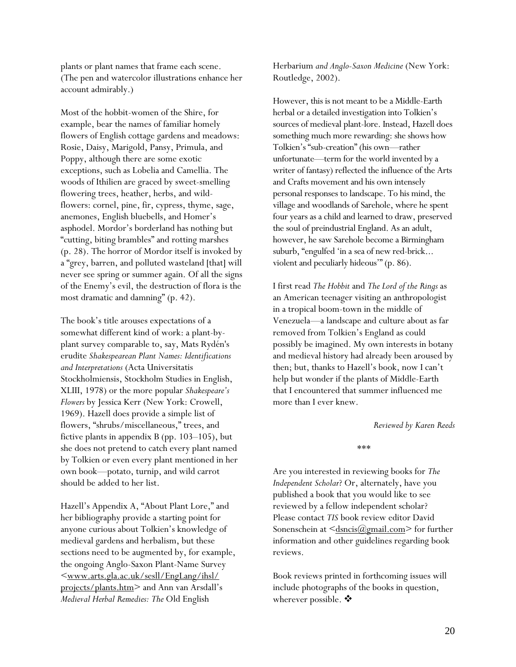plants or plant names that frame each scene. (The pen and watercolor illustrations enhance her account admirably.)

Most of the hobbit-women of the Shire, for example, bear the names of familiar homely flowers of English cottage gardens and meadows: Rosie, Daisy, Marigold, Pansy, Primula, and Poppy, although there are some exotic exceptions, such as Lobelia and Camellia. The woods of Ithilien are graced by sweet-smelling flowering trees, heather, herbs, and wildflowers: cornel, pine, fir, cypress, thyme, sage, anemones, English bluebells, and Homer's asphodel. Mordor's borderland has nothing but "cutting, biting brambles" and rotting marshes (p. 28). The horror of Mordor itself is invoked by a "grey, barren, and polluted wasteland [that] will never see spring or summer again. Of all the signs of the Enemy's evil, the destruction of flora is the most dramatic and damning" (p. 42).

The book's title arouses expectations of a somewhat different kind of work: a plant-byplant survey comparable to, say, Mats Rydén's erudite *Shakespearean Plant Names: Identifications and Interpretations* (Acta Universitatis Stockholmiensis, Stockholm Studies in English, XLIII, 1978) or the more popular *Shakespeare's Flowers* by Jessica Kerr (New York: Crowell, 1969). Hazell does provide a simple list of flowers, "shrubs/miscellaneous," trees, and fictive plants in appendix B (pp. 103–105), but she does not pretend to catch every plant named by Tolkien or even every plant mentioned in her own book—potato, turnip, and wild carrot should be added to her list.

Hazell's Appendix A, "About Plant Lore," and her bibliography provide a starting point for anyone curious about Tolkien's knowledge of medieval gardens and herbalism, but these sections need to be augmented by, for example, the ongoing Anglo-Saxon Plant-Name Survey [<www.arts.gla.ac.uk/sesll/EngLang/ihsl/](http://www.arts.gla.ac.uk/sesll/EngLang/ihsl/%0Bprojects/plants.htm) [projects/plants.htm](http://www.arts.gla.ac.uk/sesll/EngLang/ihsl/%0Bprojects/plants.htm)> and Ann van Arsdall's *Medieval Herbal Remedies: The* Old English

Herbarium *and Anglo-Saxon Medicine* (New York: Routledge, 2002).

However, this is not meant to be a Middle-Earth herbal or a detailed investigation into Tolkien's sources of medieval plant-lore. Instead, Hazell does something much more rewarding: she shows how Tolkien's "sub-creation" (his own—rather unfortunate—term for the world invented by a writer of fantasy) reflected the influence of the Arts and Crafts movement and his own intensely personal responses to landscape. To his mind, the village and woodlands of Sarehole, where he spent four years as a child and learned to draw, preserved the soul of preindustrial England. As an adult, however, he saw Sarehole become a Birmingham suburb, "engulfed 'in a sea of new red-brick... violent and peculiarly hideous'" (p. 86).

I first read *The Hobbit* and *The Lord of the Rings* as an American teenager visiting an anthropologist in a tropical boom-town in the middle of Venezuela—a landscape and culture about as far removed from Tolkien's England as could possibly be imagined. My own interests in botany and medieval history had already been aroused by then; but, thanks to Hazell's book, now I can't help but wonder if the plants of Middle-Earth that I encountered that summer influenced me more than I ever knew.

#### *Reviewed by Karen Reeds*

\*\*\*

Are you interested in reviewing books for *The Independent Scholar*? Or, alternately, have you published a book that you would like to see reviewed by a fellow independent scholar? Please contact *TIS* book review editor David Sonenschein at  $\leq$  dsncis $(\omega_{\text{gmail.com}})$  for further information and other guidelines regarding book reviews.

Book reviews printed in forthcoming issues will include photographs of the books in question, wherever possible.  $\clubsuit$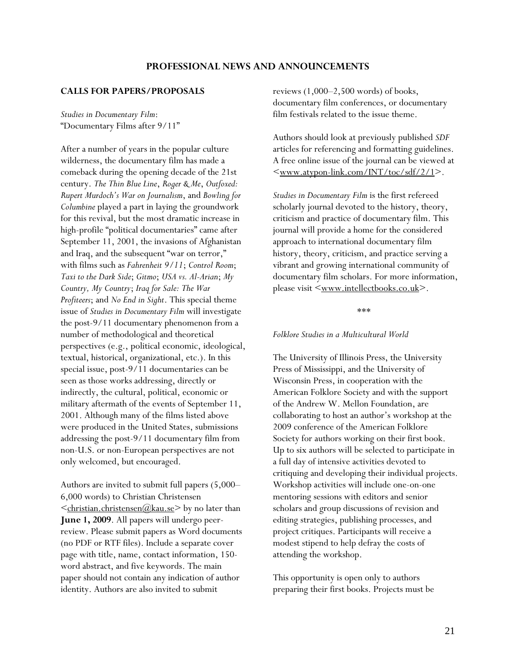## **PROFESSIONAL NEWS AND ANNOUNCEMENTS**

#### <span id="page-20-0"></span>**CALLS FOR PAPERS/PROPOSALS**

*Studies in Documentary Film*: "Documentary Films after 9/11"

After a number of years in the popular culture wilderness, the documentary film has made a comeback during the opening decade of the 21st century. *The Thin Blue Line*, *Roger & Me*, *Outfoxed: Rupert Murdoch's War on Journalism*, and *Bowling for Columbine* played a part in laying the groundwork for this revival, but the most dramatic increase in high-profile "political documentaries" came after September 11, 2001, the invasions of Afghanistan and Iraq, and the subsequent "war on terror," with films such as *Fahrenheit 9/11*; *Control Room*; *Taxi to the Dark Side*; *Gitmo*; *USA vs. Al-Arian*; *My Country, My Country*; *Iraq for Sale: The War Profiteers*; and *No End in Sight*. This special theme issue of *Studies in Documentary Film* will investigate the post-9/11 documentary phenomenon from a number of methodological and theoretical perspectives (e.g., political economic, ideological, textual, historical, organizational, etc.). In this special issue, post-9/11 documentaries can be seen as those works addressing, directly or indirectly, the cultural, political, economic or military aftermath of the events of September 11, 2001. Although many of the films listed above were produced in the United States, submissions addressing the post-9/11 documentary film from non-U.S. or non-European perspectives are not only welcomed, but encouraged.

Authors are invited to submit full papers (5,000– 6,000 words) to Christian Christensen  $\leq$ christian.christensen@kau.se> by no later than **June 1, 2009**. All papers will undergo peerreview. Please submit papers as Word documents (no PDF or RTF files). Include a separate cover page with title, name, contact information, 150 word abstract, and five keywords. The main paper should not contain any indication of author identity. Authors are also invited to submit

reviews  $(1,000-2,500$  words) of books, documentary film conferences, or documentary film festivals related to the issue theme.

Authors should look at previously published *SDF*  articles for referencing and formatting guidelines. A free online issue of the journal can be viewed at  $\leq$ www.atypon-link.com/INT/toc/sdf/2/1>.

*Studies in Documentary Film* is the first refereed scholarly journal devoted to the history, theory, criticism and practice of documentary film. This journal will provide a home for the considered approach to international documentary film history, theory, criticism, and practice serving a vibrant and growing international community of documentary film scholars. For more information, please visit  $\leq$ <u>www.intellectbooks.co.uk</u>>.

\*\*\*

#### *Folklore Studies in a Multicultural World*

The University of Illinois Press, the University Press of Mississippi, and the University of Wisconsin Press, in cooperation with the American Folklore Society and with the support of the Andrew W. Mellon Foundation, are collaborating to host an author's workshop at the 2009 conference of the American Folklore Society for authors working on their first book. Up to six authors will be selected to participate in a full day of intensive activities devoted to critiquing and developing their individual projects. Workshop activities will include one-on-one mentoring sessions with editors and senior scholars and group discussions of revision and editing strategies, publishing processes, and project critiques. Participants will receive a modest stipend to help defray the costs of attending the workshop.

This opportunity is open only to authors preparing their first books. Projects must be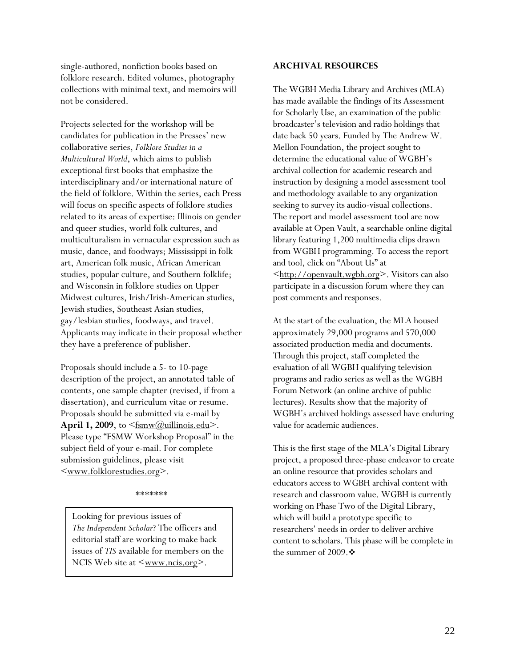single-authored, nonfiction books based on **ARCHIVAL RESOURCES**  folklore research. Edited volumes, photography collections with minimal text, and memoirs will not be considered.

Projects selected for the workshop will be candidates for publication in the Presses' new collaborative series, *Folklore Studies in a Multicultural World*, which aims to publish exceptional first books that emphasize the interdisciplinary and/or international nature of the field of folklore. Within the series, each Press will focus on specific aspects of folklore studies related to its areas of expertise: Illinois on gender and queer studies, world folk cultures, and multiculturalism in vernacular expression such as music, dance, and foodways; Mississippi in folk art, American folk music, African American studies, popular culture, and Southern folklife; and Wisconsin in folklore studies on Upper Midwest cultures, Irish/Irish-American studies, Jewish studies, Southeast Asian studies, gay/lesbian studies, foodways, and travel. Applicants may indicate in their proposal whether they have a preference of publisher.

Proposals should include a 5- to 10-page description of the project, an annotated table of contents, one sample chapter (revised, if from a dissertation), and curriculum vitae or resume. Proposals should be submitted via e-mail by **April 1, 2009**, to  $\leq$  fsmw( $@$ uillinois.edu>. Please type "FSMW Workshop Proposal" in the subject field of your e-mail. For complete submission guidelines, please visit [<www.folklorestudies.org>](http://www.folklorestudies.org/).

#### \*\*\*\*\*\*\*

Looking for previous issues of *The Independent Scholar*? The officers and editorial staff are working to make back issues of *TIS* available for members on the NCIS Web site at  $\leq_{\text{www.ncis.org}}$ .

The WGBH Media Library and Archives (MLA) has made available the findings of its Assessment for Scholarly Use, an examination of the public broadcaster's television and radio holdings that date back 50 years. Funded by The Andrew W. Mellon Foundation, the project sought to determine the educational value of WGBH's archival collection for academic research and instruction by designing a model assessment tool and methodology available to any organization seeking to survey its audio-visual collections. The report and model assessment tool are now available at Open Vault, a searchable online digital library featuring 1,200 multimedia clips drawn from WGBH programming. To access the report and tool, click on "About Us" at [<http://openvault.wgbh.org>](http://openvault.wgbh.org/). Visitors can also participate in a discussion forum where they can post comments and responses.

At the start of the evaluation, the MLA housed approximately 29,000 programs and 570,000 associated production media and documents. Through this project, staff completed the evaluation of all WGBH qualifying television programs and radio series as well as the WGBH Forum Network (an online archive of public lectures). Results show that the majority of WGBH's archived holdings assessed have enduring value for academic audiences.

This is the first stage of the MLA's Digital Library project, a proposed three-phase endeavor to create an online resource that provides scholars and educators access to WGBH archival content with research and classroom value. WGBH is currently working on Phase Two of the Digital Library, which will build a prototype specific to researchers' needs in order to deliver archive content to scholars. This phase will be complete in the summer of 2009. $\clubsuit$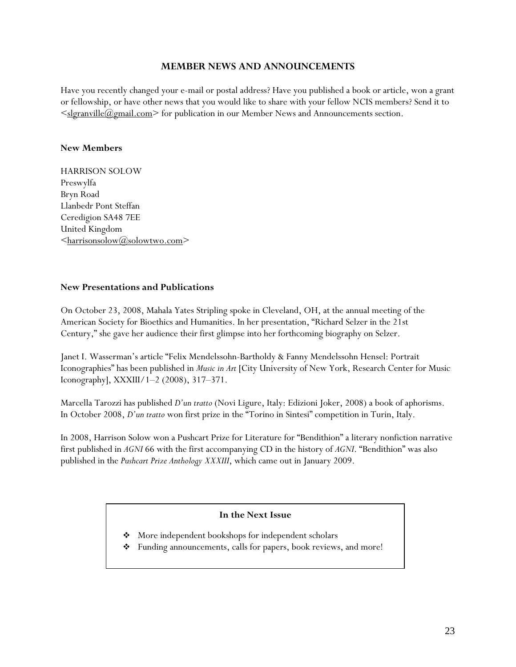## **MEMBER NEWS AND ANNOUNCEMENTS**

<span id="page-22-0"></span>Have you recently changed your e-mail or postal address? Have you published a book or article, won a grant or fellowship, or have other news that you would like to share with your fellow NCIS members? Send it to  $\leq$ slgranville $(a)$ gmail.com $\geq$  for publication in our Member News and Announcements section.

## **New Members**

HARRISON SOLOW Preswylfa Bryn Road Llanbedr Pont Steffan Ceredigion SA48 7EE United Kingdom [<harrisonsolow@solowtwo.com>](mailto:harrisonsolow@solowtwo.com)

## **New Presentations and Publications**

On October 23, 2008, Mahala Yates Stripling spoke in Cleveland, OH, at the annual meeting of the American Society for Bioethics and Humanities. In her presentation, "Richard Selzer in the 21st Century," she gave her audience their first glimpse into her forthcoming biography on Selzer.

Janet I. Wasserman's article "Felix Mendelssohn-Bartholdy & Fanny Mendelssohn Hensel: Portrait Iconographies" has been published in *Music in Art* [City University of New York, Research Center for Music Iconography], XXXIII/1–2 (2008), 317–371.

Marcella Tarozzi has published *D'un tratto* (Novi Ligure, Italy: Edizioni Joker, 2008) a book of aphorisms. In October 2008, *D'un tratto* won first prize in the "Torino in Sintesi" competition in Turin, Italy.

In 2008, Harrison Solow won a Pushcart Prize for Literature for "Bendithion" a literary nonfiction narrative first published in *AGNI* 66 with the first accompanying CD in the history of *AGNI*. "Bendithion" was also published in the *Pushcart Prize Anthology XXXIII*, which came out in January 2009.

## **In the Next Issue**

- More independent bookshops for independent scholars
- Funding announcements, calls for papers, book reviews, and more!